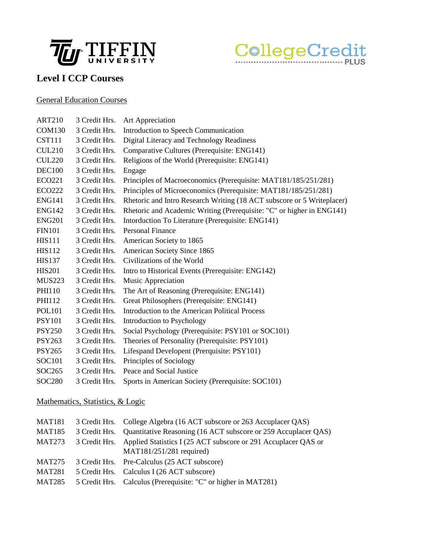



## **Level I CCP Courses**

#### General Education Courses

| <b>ART210</b> | 3 Credit Hrs. | Art Appreciation                                                       |
|---------------|---------------|------------------------------------------------------------------------|
| <b>COM130</b> | 3 Credit Hrs. | Introduction to Speech Communication                                   |
| <b>CST111</b> | 3 Credit Hrs. | Digital Literacy and Technology Readiness                              |
| <b>CUL210</b> | 3 Credit Hrs. | Comparative Cultures (Prerequisite: ENG141)                            |
| <b>CUL220</b> | 3 Credit Hrs. | Religions of the World (Prerequisite: ENG141)                          |
| <b>DEC100</b> | 3 Credit Hrs. | Engage                                                                 |
| <b>ECO221</b> | 3 Credit Hrs. | Principles of Macroeconomics (Prerequisite: MAT181/185/251/281)        |
| <b>ECO222</b> | 3 Credit Hrs. | Principles of Microeconomics (Prerequisite: MAT181/185/251/281)        |
| <b>ENG141</b> | 3 Credit Hrs. | Rhetoric and Intro Research Writing (18 ACT subscore or 5 Writeplacer) |
| <b>ENG142</b> | 3 Credit Hrs. | Rhetoric and Academic Writing (Prerequisite: "C" or higher in ENG141)  |
| <b>ENG201</b> | 3 Credit Hrs. | Intorduction To Literature (Prerequisite: ENG141)                      |
| <b>FIN101</b> | 3 Credit Hrs. | <b>Personal Finance</b>                                                |
| <b>HIS111</b> | 3 Credit Hrs. | American Society to 1865                                               |
| <b>HIS112</b> | 3 Credit Hrs. | American Society Since 1865                                            |
| <b>HIS137</b> | 3 Credit Hrs. | Civilizations of the World                                             |
| <b>HIS201</b> | 3 Credit Hrs. | Intro to Historical Events (Prerequisite: ENG142)                      |
| <b>MUS223</b> | 3 Credit Hrs. | Music Appreciation                                                     |
| PHI110        | 3 Credit Hrs. | The Art of Reasoning (Prerequisite: ENG141)                            |
| PHI112        | 3 Credit Hrs. | Great Philosophers (Prerequisite: ENG141)                              |
| <b>POL101</b> | 3 Credit Hrs. | Introduction to the American Political Process                         |
| <b>PSY101</b> | 3 Credit Hrs. | Introduction to Psychology                                             |
| <b>PSY250</b> | 3 Credit Hrs. | Social Psychology (Prerequisite: PSY101 or SOC101)                     |
| <b>PSY263</b> | 3 Credit Hrs. | Theories of Personality (Prerequisite: PSY101)                         |
| <b>PSY265</b> | 3 Credit Hrs. | Lifespand Developent (Prerquisite: PSY101)                             |
| <b>SOC101</b> | 3 Credit Hrs. | Principles of Sociology                                                |
| SOC265        | 3 Credit Hrs. | Peace and Social Justice                                               |
| <b>SOC280</b> | 3 Credit Hrs. | Sports in American Society (Prerequisite: SOC101)                      |
|               |               |                                                                        |

### Mathematics, Statistics, & Logic

| 3 Credit Hrs. College Algebra (16 ACT subscore or 263 Accuplacer QAS)        |
|------------------------------------------------------------------------------|
| 3 Credit Hrs. Quantitative Reasoning (16 ACT subscore or 259 Accuplacer QAS) |
| 3 Credit Hrs. Applied Statistics I (25 ACT subscore or 291 Accuplacer QAS or |
| $MAT181/251/281$ required)                                                   |
| 3 Credit Hrs. Pre-Calculus (25 ACT subscore)                                 |
| 5 Credit Hrs. Calculus I (26 ACT subscore)                                   |
| 5 Credit Hrs. Calculus (Prerequisite: "C" or higher in MAT281)               |
|                                                                              |